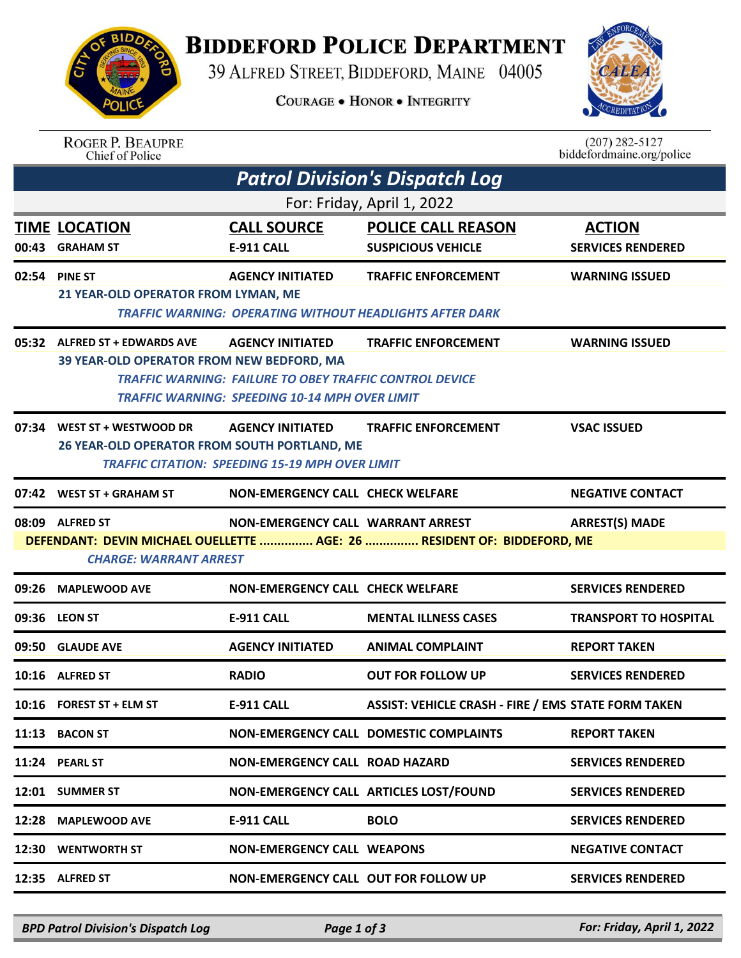## **BIDDEFORD POLICE DEPARTMENT**

39 ALFRED STREET, BIDDEFORD, MAINE 04005

**COURAGE . HONOR . INTEGRITY** 



ROGER P. BEAUPRE<br>Chief of Police

 $(207)$  282-5127<br>biddefordmaine.org/police

| <b>Patrol Division's Dispatch Log</b> |                                                                                                                                                                                                  |                                                                                                                                                    |                                                                                               |                                           |  |  |  |  |
|---------------------------------------|--------------------------------------------------------------------------------------------------------------------------------------------------------------------------------------------------|----------------------------------------------------------------------------------------------------------------------------------------------------|-----------------------------------------------------------------------------------------------|-------------------------------------------|--|--|--|--|
| For: Friday, April 1, 2022            |                                                                                                                                                                                                  |                                                                                                                                                    |                                                                                               |                                           |  |  |  |  |
|                                       | <b>TIME LOCATION</b><br>00:43 GRAHAM ST                                                                                                                                                          | <b>CALL SOURCE</b><br><b>E-911 CALL</b>                                                                                                            | <b>POLICE CALL REASON</b><br><b>SUSPICIOUS VEHICLE</b>                                        | <b>ACTION</b><br><b>SERVICES RENDERED</b> |  |  |  |  |
|                                       | 02:54 PINE ST<br>21 YEAR-OLD OPERATOR FROM LYMAN, ME                                                                                                                                             | <b>AGENCY INITIATED</b>                                                                                                                            | <b>TRAFFIC ENFORCEMENT</b><br><b>TRAFFIC WARNING: OPERATING WITHOUT HEADLIGHTS AFTER DARK</b> | <b>WARNING ISSUED</b>                     |  |  |  |  |
|                                       | 05:32 ALFRED ST + EDWARDS AVE<br>39 YEAR-OLD OPERATOR FROM NEW BEDFORD, MA                                                                                                                       | <b>AGENCY INITIATED</b><br><b>TRAFFIC WARNING: FAILURE TO OBEY TRAFFIC CONTROL DEVICE</b><br><b>TRAFFIC WARNING: SPEEDING 10-14 MPH OVER LIMIT</b> | <b>TRAFFIC ENFORCEMENT</b>                                                                    | <b>WARNING ISSUED</b>                     |  |  |  |  |
|                                       | 07:34 WEST ST + WESTWOOD DR<br>26 YEAR-OLD OPERATOR FROM SOUTH PORTLAND, ME                                                                                                                      | <b>AGENCY INITIATED</b><br><b>TRAFFIC CITATION: SPEEDING 15-19 MPH OVER LIMIT</b>                                                                  | <b>TRAFFIC ENFORCEMENT</b>                                                                    | <b>VSAC ISSUED</b>                        |  |  |  |  |
|                                       | 07:42 WEST ST + GRAHAM ST                                                                                                                                                                        | <b>NON-EMERGENCY CALL CHECK WELFARE</b>                                                                                                            |                                                                                               | <b>NEGATIVE CONTACT</b>                   |  |  |  |  |
|                                       | <b>NON-EMERGENCY CALL WARRANT ARREST</b><br><b>ARREST(S) MADE</b><br>08:09 ALFRED ST<br>DEFENDANT: DEVIN MICHAEL OUELLETTE  AGE: 26  RESIDENT OF: BIDDEFORD, ME<br><b>CHARGE: WARRANT ARREST</b> |                                                                                                                                                    |                                                                                               |                                           |  |  |  |  |
|                                       | 09:26 MAPLEWOOD AVE                                                                                                                                                                              | <b>NON-EMERGENCY CALL CHECK WELFARE</b>                                                                                                            |                                                                                               | <b>SERVICES RENDERED</b>                  |  |  |  |  |
|                                       | 09:36 LEON ST                                                                                                                                                                                    | <b>E-911 CALL</b>                                                                                                                                  | <b>MENTAL ILLNESS CASES</b>                                                                   | <b>TRANSPORT TO HOSPITAL</b>              |  |  |  |  |
|                                       | 09:50 GLAUDE AVE                                                                                                                                                                                 | <b>AGENCY INITIATED</b>                                                                                                                            | <b>ANIMAL COMPLAINT</b>                                                                       | <b>REPORT TAKEN</b>                       |  |  |  |  |
|                                       | 10:16 ALFRED ST                                                                                                                                                                                  | <b>RADIO</b>                                                                                                                                       | <b>OUT FOR FOLLOW UP</b>                                                                      | <b>SERVICES RENDERED</b>                  |  |  |  |  |
|                                       | 10:16 FOREST ST + ELM ST                                                                                                                                                                         | <b>E-911 CALL</b>                                                                                                                                  | <b>ASSIST: VEHICLE CRASH - FIRE / EMS STATE FORM TAKEN</b>                                    |                                           |  |  |  |  |
|                                       | 11:13 BACON ST                                                                                                                                                                                   |                                                                                                                                                    | NON-EMERGENCY CALL DOMESTIC COMPLAINTS                                                        | <b>REPORT TAKEN</b>                       |  |  |  |  |
|                                       | 11:24 PEARL ST                                                                                                                                                                                   | <b>NON-EMERGENCY CALL ROAD HAZARD</b>                                                                                                              |                                                                                               | <b>SERVICES RENDERED</b>                  |  |  |  |  |
|                                       | 12:01 SUMMER ST                                                                                                                                                                                  |                                                                                                                                                    | NON-EMERGENCY CALL ARTICLES LOST/FOUND                                                        | <b>SERVICES RENDERED</b>                  |  |  |  |  |
|                                       | 12:28 MAPLEWOOD AVE                                                                                                                                                                              | E-911 CALL                                                                                                                                         | <b>BOLO</b>                                                                                   | <b>SERVICES RENDERED</b>                  |  |  |  |  |
|                                       | 12:30 WENTWORTH ST                                                                                                                                                                               | <b>NON-EMERGENCY CALL WEAPONS</b>                                                                                                                  |                                                                                               | <b>NEGATIVE CONTACT</b>                   |  |  |  |  |
|                                       | 12:35 ALFRED ST                                                                                                                                                                                  | NON-EMERGENCY CALL OUT FOR FOLLOW UP                                                                                                               |                                                                                               | <b>SERVICES RENDERED</b>                  |  |  |  |  |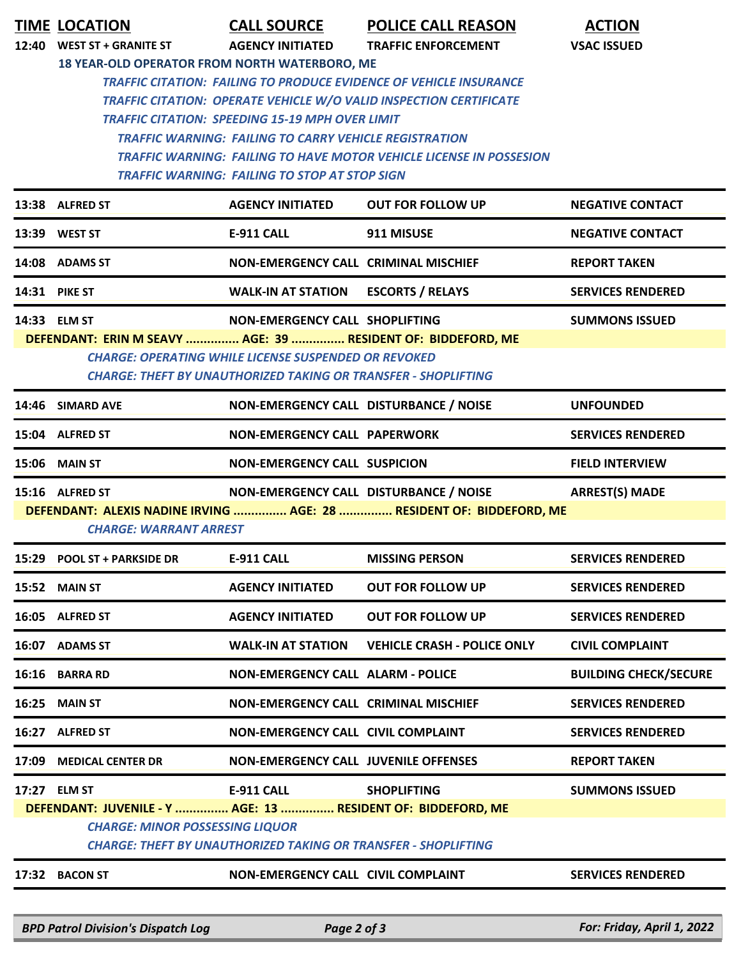|       | <b>TIME LOCATION</b>                                                                                                                 | <b>CALL SOURCE</b>                                            | <b>POLICE CALL REASON</b>                                                  | <b>ACTION</b>                |  |  |  |  |
|-------|--------------------------------------------------------------------------------------------------------------------------------------|---------------------------------------------------------------|----------------------------------------------------------------------------|------------------------------|--|--|--|--|
| 12:40 | <b>WEST ST + GRANITE ST</b>                                                                                                          | <b>AGENCY INITIATED</b>                                       | <b>TRAFFIC ENFORCEMENT</b>                                                 | <b>VSAC ISSUED</b>           |  |  |  |  |
|       | 18 YEAR-OLD OPERATOR FROM NORTH WATERBORO, ME                                                                                        |                                                               |                                                                            |                              |  |  |  |  |
|       | <b>TRAFFIC CITATION: FAILING TO PRODUCE EVIDENCE OF VEHICLE INSURANCE</b>                                                            |                                                               |                                                                            |                              |  |  |  |  |
|       | <b>TRAFFIC CITATION: OPERATE VEHICLE W/O VALID INSPECTION CERTIFICATE</b>                                                            |                                                               |                                                                            |                              |  |  |  |  |
|       |                                                                                                                                      | <b>TRAFFIC CITATION: SPEEDING 15-19 MPH OVER LIMIT</b>        |                                                                            |                              |  |  |  |  |
|       |                                                                                                                                      | <b>TRAFFIC WARNING: FAILING TO CARRY VEHICLE REGISTRATION</b> |                                                                            |                              |  |  |  |  |
|       |                                                                                                                                      |                                                               | <b>TRAFFIC WARNING: FAILING TO HAVE MOTOR VEHICLE LICENSE IN POSSESION</b> |                              |  |  |  |  |
|       | <b>TRAFFIC WARNING: FAILING TO STOP AT STOP SIGN</b>                                                                                 |                                                               |                                                                            |                              |  |  |  |  |
|       | 13:38 ALFRED ST                                                                                                                      | <b>AGENCY INITIATED</b>                                       | <b>OUT FOR FOLLOW UP</b>                                                   | <b>NEGATIVE CONTACT</b>      |  |  |  |  |
|       | 13:39 WEST ST                                                                                                                        | E-911 CALL                                                    | 911 MISUSE                                                                 | <b>NEGATIVE CONTACT</b>      |  |  |  |  |
|       | 14:08 ADAMS ST                                                                                                                       | NON-EMERGENCY CALL CRIMINAL MISCHIEF                          |                                                                            | <b>REPORT TAKEN</b>          |  |  |  |  |
|       | 14:31 PIKE ST                                                                                                                        | <b>WALK-IN AT STATION</b>                                     | <b>ESCORTS / RELAYS</b>                                                    | <b>SERVICES RENDERED</b>     |  |  |  |  |
|       | 14:33 ELM ST                                                                                                                         | NON-EMERGENCY CALL SHOPLIFTING                                |                                                                            | <b>SUMMONS ISSUED</b>        |  |  |  |  |
|       | DEFENDANT: ERIN M SEAVY  AGE: 39  RESIDENT OF: BIDDEFORD, ME                                                                         |                                                               |                                                                            |                              |  |  |  |  |
|       | <b>CHARGE: OPERATING WHILE LICENSE SUSPENDED OR REVOKED</b><br><b>CHARGE: THEFT BY UNAUTHORIZED TAKING OR TRANSFER - SHOPLIFTING</b> |                                                               |                                                                            |                              |  |  |  |  |
|       |                                                                                                                                      |                                                               |                                                                            |                              |  |  |  |  |
|       | 14:46 SIMARD AVE                                                                                                                     | NON-EMERGENCY CALL DISTURBANCE / NOISE                        |                                                                            | <b>UNFOUNDED</b>             |  |  |  |  |
|       | 15:04 ALFRED ST                                                                                                                      | <b>NON-EMERGENCY CALL PAPERWORK</b>                           |                                                                            | <b>SERVICES RENDERED</b>     |  |  |  |  |
|       | 15:06 MAIN ST                                                                                                                        | <b>NON-EMERGENCY CALL SUSPICION</b>                           |                                                                            | <b>FIELD INTERVIEW</b>       |  |  |  |  |
|       | 15:16 ALFRED ST                                                                                                                      | NON-EMERGENCY CALL DISTURBANCE / NOISE                        |                                                                            | <b>ARREST(S) MADE</b>        |  |  |  |  |
|       |                                                                                                                                      |                                                               | DEFENDANT: ALEXIS NADINE IRVING  AGE: 28  RESIDENT OF: BIDDEFORD, ME       |                              |  |  |  |  |
|       | <b>CHARGE: WARRANT ARREST</b>                                                                                                        |                                                               |                                                                            |                              |  |  |  |  |
|       | 15:29 POOL ST + PARKSIDE DR                                                                                                          | <b>E-911 CALL</b>                                             | <b>MISSING PERSON</b>                                                      | <b>SERVICES RENDERED</b>     |  |  |  |  |
|       | 15:52 MAIN ST                                                                                                                        | <b>AGENCY INITIATED</b>                                       | <b>OUT FOR FOLLOW UP</b>                                                   | <b>SERVICES RENDERED</b>     |  |  |  |  |
|       | 16:05 ALFRED ST                                                                                                                      | <b>AGENCY INITIATED</b>                                       | <b>OUT FOR FOLLOW UP</b>                                                   | <b>SERVICES RENDERED</b>     |  |  |  |  |
|       | 16:07 ADAMS ST                                                                                                                       | <b>WALK-IN AT STATION</b>                                     | <b>VEHICLE CRASH - POLICE ONLY</b>                                         | <b>CIVIL COMPLAINT</b>       |  |  |  |  |
| 16:16 | <b>BARRA RD</b>                                                                                                                      | <b>NON-EMERGENCY CALL ALARM - POLICE</b>                      |                                                                            | <b>BUILDING CHECK/SECURE</b> |  |  |  |  |
| 16:25 | <b>MAIN ST</b>                                                                                                                       | <b>NON-EMERGENCY CALL CRIMINAL MISCHIEF</b>                   |                                                                            | <b>SERVICES RENDERED</b>     |  |  |  |  |
|       | 16:27 ALFRED ST                                                                                                                      | <b>NON-EMERGENCY CALL CIVIL COMPLAINT</b>                     |                                                                            | <b>SERVICES RENDERED</b>     |  |  |  |  |
| 17:09 | <b>MEDICAL CENTER DR</b>                                                                                                             | <b>NON-EMERGENCY CALL JUVENILE OFFENSES</b>                   |                                                                            | <b>REPORT TAKEN</b>          |  |  |  |  |
|       | 17:27 ELM ST                                                                                                                         | <b>E-911 CALL</b>                                             | <b>SHOPLIFTING</b>                                                         | <b>SUMMONS ISSUED</b>        |  |  |  |  |
|       | DEFENDANT: JUVENILE - Y  AGE: 13  RESIDENT OF: BIDDEFORD, ME                                                                         |                                                               |                                                                            |                              |  |  |  |  |
|       | <b>CHARGE: MINOR POSSESSING LIQUOR</b>                                                                                               |                                                               |                                                                            |                              |  |  |  |  |
|       | <b>CHARGE: THEFT BY UNAUTHORIZED TAKING OR TRANSFER - SHOPLIFTING</b>                                                                |                                                               |                                                                            |                              |  |  |  |  |
|       | 17:32 BACON ST                                                                                                                       | <b>NON-EMERGENCY CALL CIVIL COMPLAINT</b>                     |                                                                            | <b>SERVICES RENDERED</b>     |  |  |  |  |
|       |                                                                                                                                      |                                                               |                                                                            |                              |  |  |  |  |

*BPD Patrol Division's Dispatch Log Page 2 of 3 For: Friday, April 1, 2022*